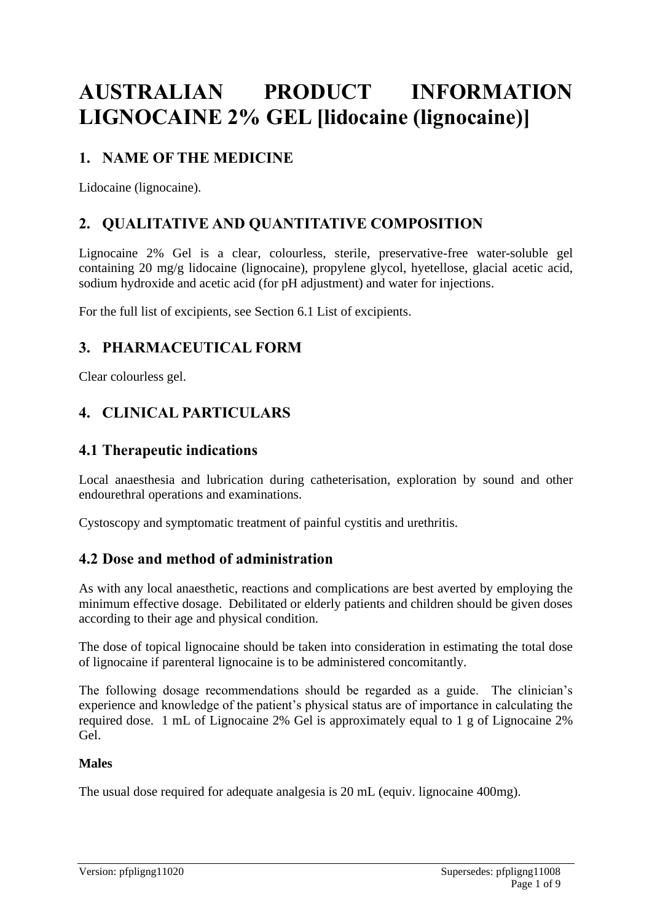# **AUSTRALIAN PRODUCT INFORMATION LIGNOCAINE 2% GEL [lidocaine (lignocaine)]**

# **1. NAME OF THE MEDICINE**

Lidocaine (lignocaine).

# **2. QUALITATIVE AND QUANTITATIVE COMPOSITION**

Lignocaine 2% Gel is a clear, colourless, sterile, preservative-free water-soluble gel containing 20 mg/g lidocaine (lignocaine), propylene glycol, hyetellose, glacial acetic acid, sodium hydroxide and acetic acid (for pH adjustment) and water for injections.

For the full list of excipients, see Section 6.1 List of excipients.

# **3. PHARMACEUTICAL FORM**

Clear colourless gel.

# **4. CLINICAL PARTICULARS**

### **4.1 Therapeutic indications**

Local anaesthesia and lubrication during catheterisation, exploration by sound and other endourethral operations and examinations.

Cystoscopy and symptomatic treatment of painful cystitis and urethritis.

### **4.2 Dose and method of administration**

As with any local anaesthetic, reactions and complications are best averted by employing the minimum effective dosage. Debilitated or elderly patients and children should be given doses according to their age and physical condition.

The dose of topical lignocaine should be taken into consideration in estimating the total dose of lignocaine if parenteral lignocaine is to be administered concomitantly.

The following dosage recommendations should be regarded as a guide. The clinician's experience and knowledge of the patient's physical status are of importance in calculating the required dose. 1 mL of Lignocaine 2% Gel is approximately equal to 1 g of Lignocaine 2% Gel.

### **Males**

The usual dose required for adequate analgesia is 20 mL (equiv. lignocaine 400mg).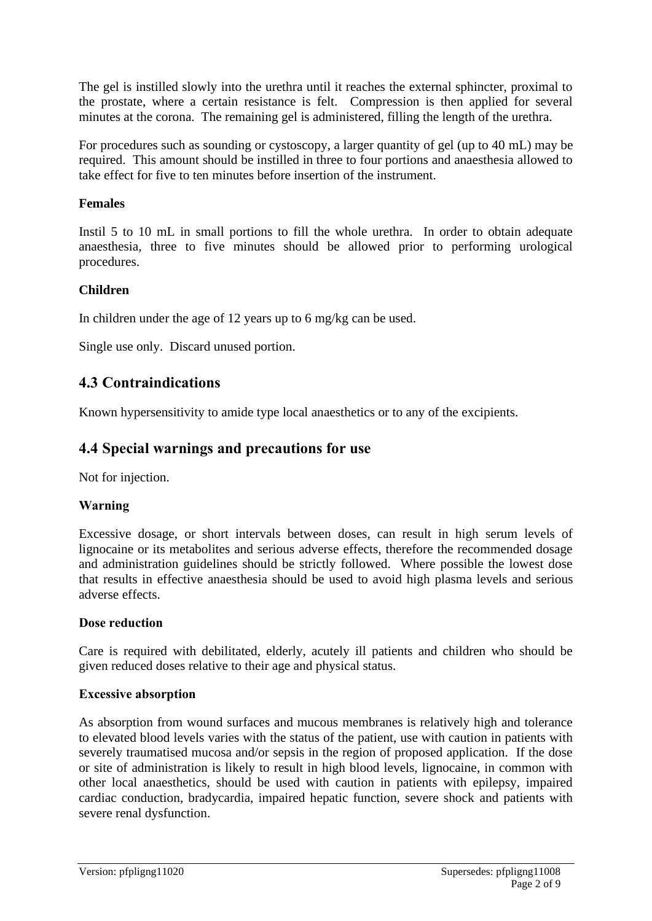The gel is instilled slowly into the urethra until it reaches the external sphincter, proximal to the prostate, where a certain resistance is felt. Compression is then applied for several minutes at the corona. The remaining gel is administered, filling the length of the urethra.

For procedures such as sounding or cystoscopy, a larger quantity of gel (up to 40 mL) may be required. This amount should be instilled in three to four portions and anaesthesia allowed to take effect for five to ten minutes before insertion of the instrument.

### **Females**

Instil 5 to 10 mL in small portions to fill the whole urethra. In order to obtain adequate anaesthesia, three to five minutes should be allowed prior to performing urological procedures.

### **Children**

In children under the age of 12 years up to 6 mg/kg can be used.

Single use only. Discard unused portion.

# **4.3 Contraindications**

Known hypersensitivity to amide type local anaesthetics or to any of the excipients.

# **4.4 Special warnings and precautions for use**

Not for injection.

### **Warning**

Excessive dosage, or short intervals between doses, can result in high serum levels of lignocaine or its metabolites and serious adverse effects, therefore the recommended dosage and administration guidelines should be strictly followed. Where possible the lowest dose that results in effective anaesthesia should be used to avoid high plasma levels and serious adverse effects.

#### **Dose reduction**

Care is required with debilitated, elderly, acutely ill patients and children who should be given reduced doses relative to their age and physical status.

#### **Excessive absorption**

As absorption from wound surfaces and mucous membranes is relatively high and tolerance to elevated blood levels varies with the status of the patient, use with caution in patients with severely traumatised mucosa and/or sepsis in the region of proposed application. If the dose or site of administration is likely to result in high blood levels, lignocaine, in common with other local anaesthetics, should be used with caution in patients with epilepsy, impaired cardiac conduction, bradycardia, impaired hepatic function, severe shock and patients with severe renal dysfunction.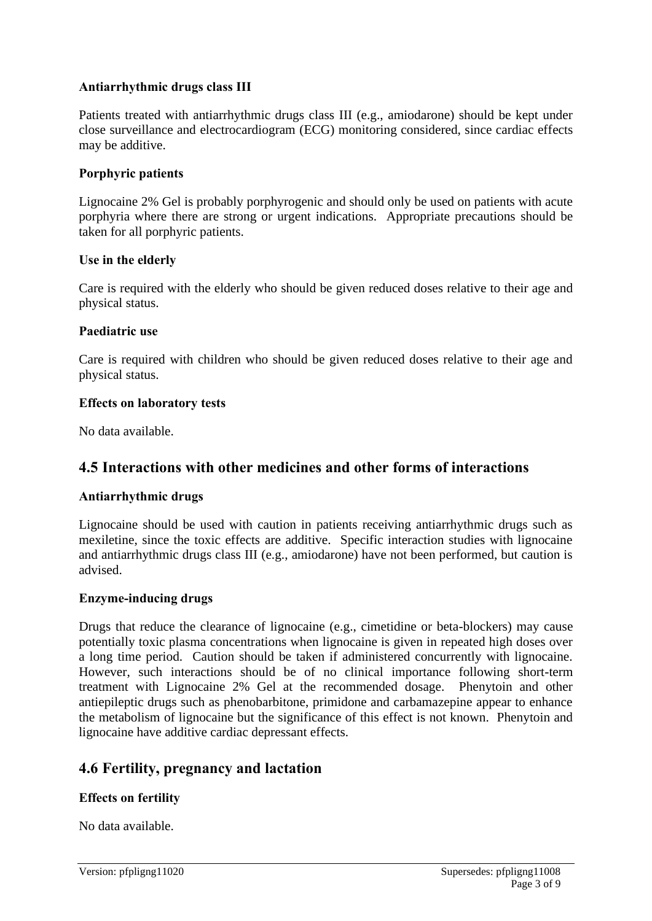### **Antiarrhythmic drugs class III**

Patients treated with antiarrhythmic drugs class III (e.g., amiodarone) should be kept under close surveillance and electrocardiogram (ECG) monitoring considered, since cardiac effects may be additive.

#### **Porphyric patients**

Lignocaine 2% Gel is probably porphyrogenic and should only be used on patients with acute porphyria where there are strong or urgent indications. Appropriate precautions should be taken for all porphyric patients.

#### **Use in the elderly**

Care is required with the elderly who should be given reduced doses relative to their age and physical status.

#### **Paediatric use**

Care is required with children who should be given reduced doses relative to their age and physical status.

#### **Effects on laboratory tests**

No data available.

### **4.5 Interactions with other medicines and other forms of interactions**

#### **Antiarrhythmic drugs**

Lignocaine should be used with caution in patients receiving antiarrhythmic drugs such as mexiletine, since the toxic effects are additive. Specific interaction studies with lignocaine and antiarrhythmic drugs class III (e.g., amiodarone) have not been performed, but caution is advised.

#### **Enzyme-inducing drugs**

Drugs that reduce the clearance of lignocaine (e.g., cimetidine or beta-blockers) may cause potentially toxic plasma concentrations when lignocaine is given in repeated high doses over a long time period. Caution should be taken if administered concurrently with lignocaine. However, such interactions should be of no clinical importance following short-term treatment with Lignocaine 2% Gel at the recommended dosage. Phenytoin and other antiepileptic drugs such as phenobarbitone, primidone and carbamazepine appear to enhance the metabolism of lignocaine but the significance of this effect is not known. Phenytoin and lignocaine have additive cardiac depressant effects.

### **4.6 Fertility, pregnancy and lactation**

#### **Effects on fertility**

No data available.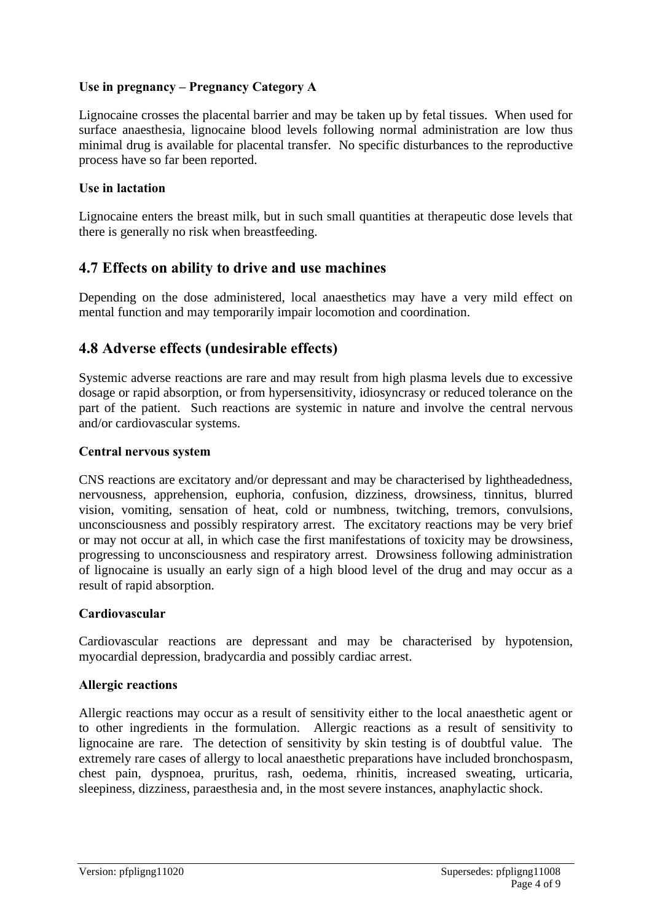### **Use in pregnancy – Pregnancy Category A**

Lignocaine crosses the placental barrier and may be taken up by fetal tissues. When used for surface anaesthesia, lignocaine blood levels following normal administration are low thus minimal drug is available for placental transfer. No specific disturbances to the reproductive process have so far been reported.

#### **Use in lactation**

Lignocaine enters the breast milk, but in such small quantities at therapeutic dose levels that there is generally no risk when breastfeeding.

### **4.7 Effects on ability to drive and use machines**

Depending on the dose administered, local anaesthetics may have a very mild effect on mental function and may temporarily impair locomotion and coordination.

### **4.8 Adverse effects (undesirable effects)**

Systemic adverse reactions are rare and may result from high plasma levels due to excessive dosage or rapid absorption, or from hypersensitivity, idiosyncrasy or reduced tolerance on the part of the patient. Such reactions are systemic in nature and involve the central nervous and/or cardiovascular systems.

#### **Central nervous system**

CNS reactions are excitatory and/or depressant and may be characterised by lightheadedness, nervousness, apprehension, euphoria, confusion, dizziness, drowsiness, tinnitus, blurred vision, vomiting, sensation of heat, cold or numbness, twitching, tremors, convulsions, unconsciousness and possibly respiratory arrest. The excitatory reactions may be very brief or may not occur at all, in which case the first manifestations of toxicity may be drowsiness, progressing to unconsciousness and respiratory arrest. Drowsiness following administration of lignocaine is usually an early sign of a high blood level of the drug and may occur as a result of rapid absorption.

#### **Cardiovascular**

Cardiovascular reactions are depressant and may be characterised by hypotension, myocardial depression, bradycardia and possibly cardiac arrest.

#### **Allergic reactions**

Allergic reactions may occur as a result of sensitivity either to the local anaesthetic agent or to other ingredients in the formulation. Allergic reactions as a result of sensitivity to lignocaine are rare. The detection of sensitivity by skin testing is of doubtful value. The extremely rare cases of allergy to local anaesthetic preparations have included bronchospasm, chest pain, dyspnoea, pruritus, rash, oedema, rhinitis, increased sweating, urticaria, sleepiness, dizziness, paraesthesia and, in the most severe instances, anaphylactic shock.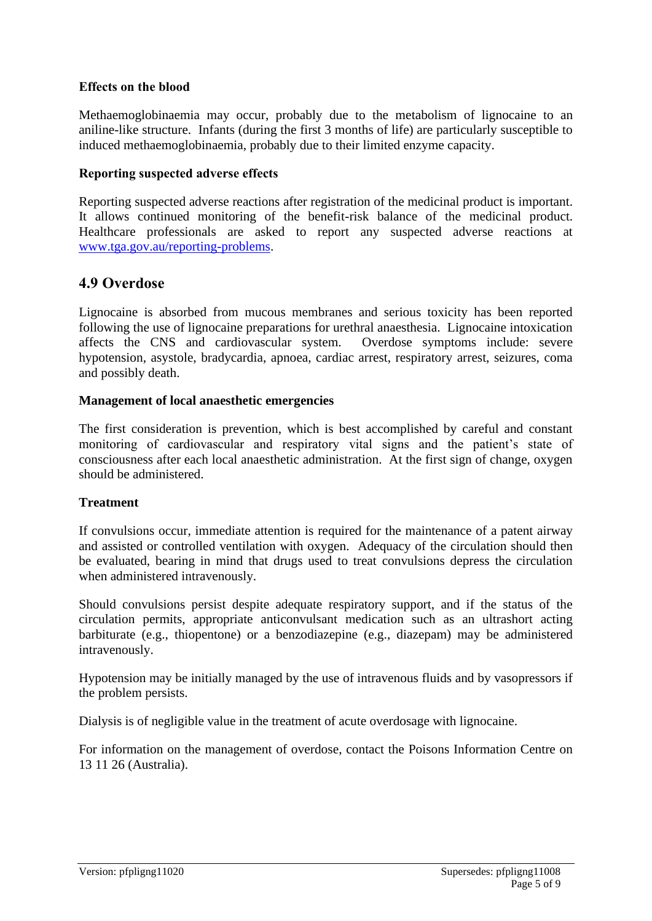#### **Effects on the blood**

Methaemoglobinaemia may occur, probably due to the metabolism of lignocaine to an aniline-like structure. Infants (during the first 3 months of life) are particularly susceptible to induced methaemoglobinaemia, probably due to their limited enzyme capacity.

#### **Reporting suspected adverse effects**

Reporting suspected adverse reactions after registration of the medicinal product is important. It allows continued monitoring of the benefit-risk balance of the medicinal product. Healthcare professionals are asked to report any suspected adverse reactions at [www.tga.gov.au/reporting-problems.](http://www.tga.gov.au/reporting-problems)

### **4.9 Overdose**

Lignocaine is absorbed from mucous membranes and serious toxicity has been reported following the use of lignocaine preparations for urethral anaesthesia. Lignocaine intoxication affects the CNS and cardiovascular system. Overdose symptoms include: severe hypotension, asystole, bradycardia, apnoea, cardiac arrest, respiratory arrest, seizures, coma and possibly death.

### **Management of local anaesthetic emergencies**

The first consideration is prevention, which is best accomplished by careful and constant monitoring of cardiovascular and respiratory vital signs and the patient's state of consciousness after each local anaesthetic administration. At the first sign of change, oxygen should be administered.

#### **Treatment**

If convulsions occur, immediate attention is required for the maintenance of a patent airway and assisted or controlled ventilation with oxygen. Adequacy of the circulation should then be evaluated, bearing in mind that drugs used to treat convulsions depress the circulation when administered intravenously.

Should convulsions persist despite adequate respiratory support, and if the status of the circulation permits, appropriate anticonvulsant medication such as an ultrashort acting barbiturate (e.g., thiopentone) or a benzodiazepine (e.g., diazepam) may be administered intravenously.

Hypotension may be initially managed by the use of intravenous fluids and by vasopressors if the problem persists.

Dialysis is of negligible value in the treatment of acute overdosage with lignocaine.

For information on the management of overdose, contact the Poisons Information Centre on 13 11 26 (Australia).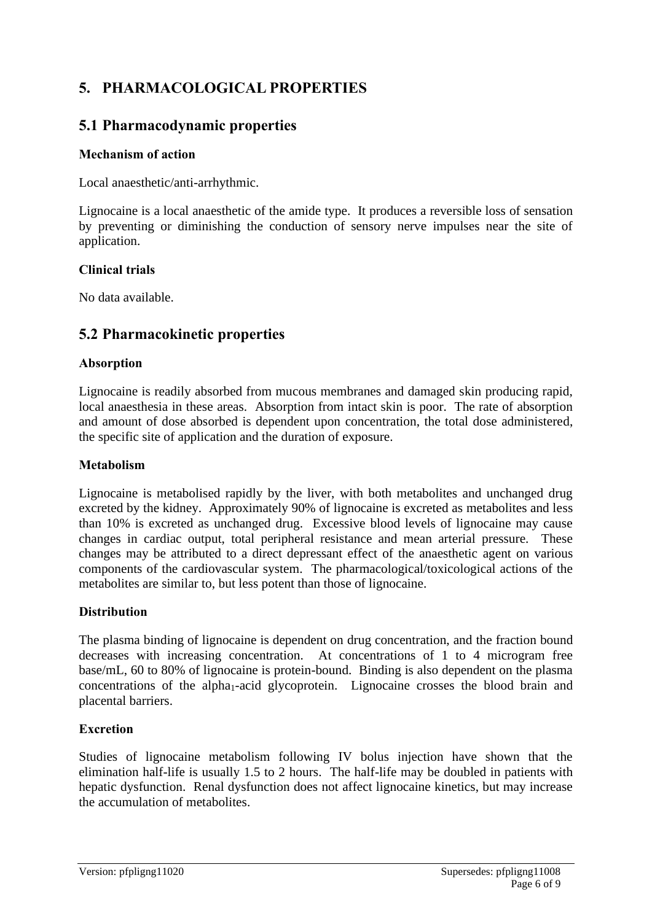# **5. PHARMACOLOGICAL PROPERTIES**

# **5.1 Pharmacodynamic properties**

### **Mechanism of action**

Local anaesthetic/anti-arrhythmic.

Lignocaine is a local anaesthetic of the amide type. It produces a reversible loss of sensation by preventing or diminishing the conduction of sensory nerve impulses near the site of application.

#### **Clinical trials**

No data available.

# **5.2 Pharmacokinetic properties**

### **Absorption**

Lignocaine is readily absorbed from mucous membranes and damaged skin producing rapid, local anaesthesia in these areas. Absorption from intact skin is poor. The rate of absorption and amount of dose absorbed is dependent upon concentration, the total dose administered, the specific site of application and the duration of exposure.

#### **Metabolism**

Lignocaine is metabolised rapidly by the liver, with both metabolites and unchanged drug excreted by the kidney. Approximately 90% of lignocaine is excreted as metabolites and less than 10% is excreted as unchanged drug. Excessive blood levels of lignocaine may cause changes in cardiac output, total peripheral resistance and mean arterial pressure. These changes may be attributed to a direct depressant effect of the anaesthetic agent on various components of the cardiovascular system. The pharmacological/toxicological actions of the metabolites are similar to, but less potent than those of lignocaine.

### **Distribution**

The plasma binding of lignocaine is dependent on drug concentration, and the fraction bound decreases with increasing concentration. At concentrations of 1 to 4 microgram free base/mL, 60 to 80% of lignocaine is protein-bound. Binding is also dependent on the plasma concentrations of the alpha<sub>1</sub>-acid glycoprotein. Lignocaine crosses the blood brain and placental barriers.

### **Excretion**

Studies of lignocaine metabolism following IV bolus injection have shown that the elimination half-life is usually 1.5 to 2 hours. The half-life may be doubled in patients with hepatic dysfunction. Renal dysfunction does not affect lignocaine kinetics, but may increase the accumulation of metabolites.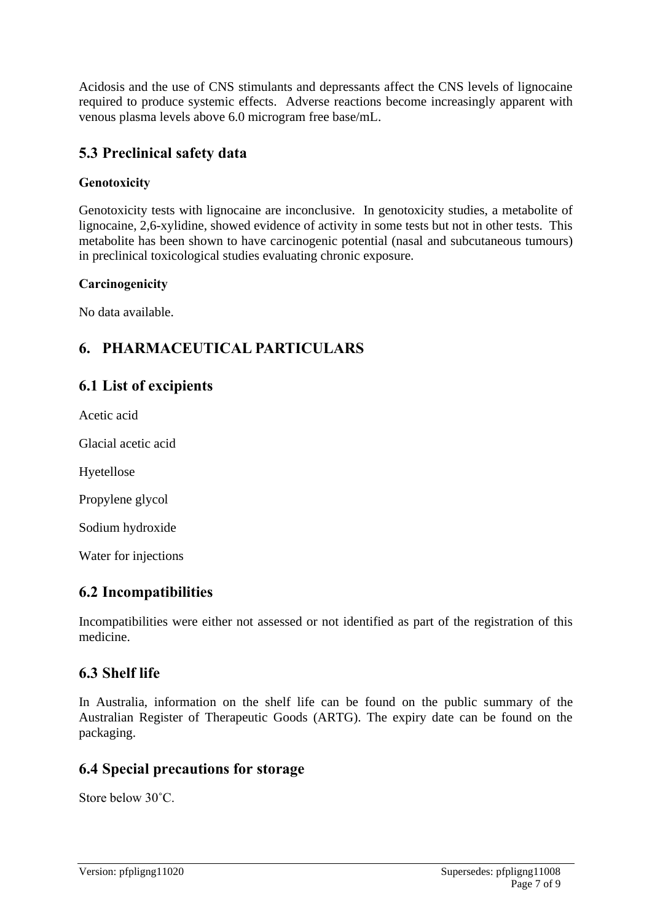Acidosis and the use of CNS stimulants and depressants affect the CNS levels of lignocaine required to produce systemic effects. Adverse reactions become increasingly apparent with venous plasma levels above 6.0 microgram free base/mL.

# **5.3 Preclinical safety data**

### **Genotoxicity**

Genotoxicity tests with lignocaine are inconclusive. In genotoxicity studies, a metabolite of lignocaine, 2,6-xylidine, showed evidence of activity in some tests but not in other tests. This metabolite has been shown to have carcinogenic potential (nasal and subcutaneous tumours) in preclinical toxicological studies evaluating chronic exposure.

### **Carcinogenicity**

No data available.

# **6. PHARMACEUTICAL PARTICULARS**

### **6.1 List of excipients**

Acetic acid

Glacial acetic acid

Hyetellose

Propylene glycol

Sodium hydroxide

Water for injections

### **6.2 Incompatibilities**

Incompatibilities were either not assessed or not identified as part of the registration of this medicine.

### **6.3 Shelf life**

In Australia, information on the shelf life can be found on the public summary of the Australian Register of Therapeutic Goods (ARTG). The expiry date can be found on the packaging.

### **6.4 Special precautions for storage**

Store below 30˚C.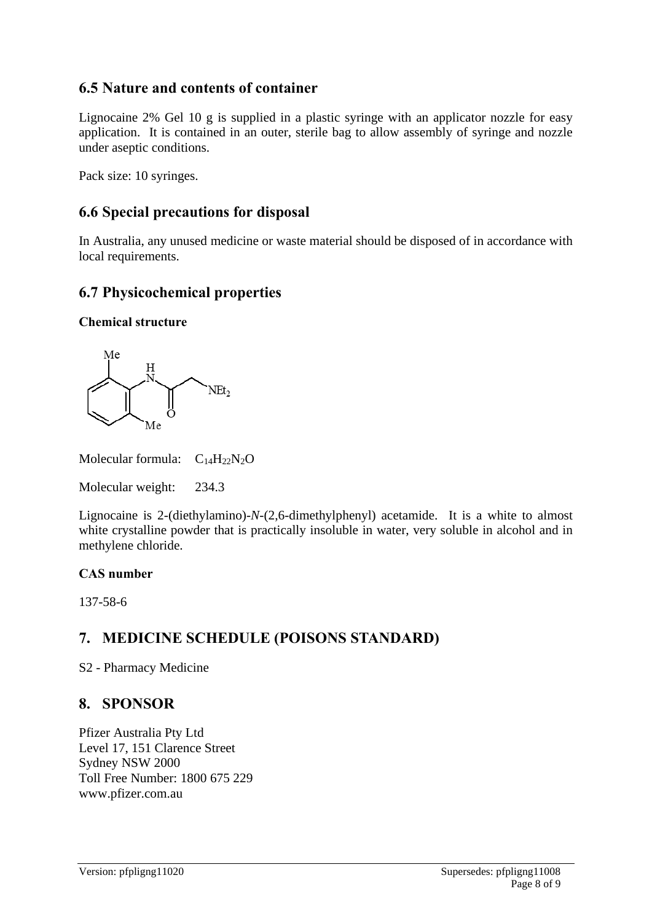# **6.5 Nature and contents of container**

Lignocaine 2% Gel 10 g is supplied in a plastic syringe with an applicator nozzle for easy application. It is contained in an outer, sterile bag to allow assembly of syringe and nozzle under aseptic conditions.

Pack size: 10 syringes.

# **6.6 Special precautions for disposal**

In Australia, any unused medicine or waste material should be disposed of in accordance with local requirements.

# **6.7 Physicochemical properties**

### **Chemical structure**



Molecular formula:  $C_{14}H_{22}N_2O$ 

Molecular weight: 234.3

Lignocaine is 2-(diethylamino)-*N*-(2,6-dimethylphenyl) acetamide. It is a white to almost white crystalline powder that is practically insoluble in water, very soluble in alcohol and in methylene chloride.

### **CAS number**

137-58-6

# **7. MEDICINE SCHEDULE (POISONS STANDARD)**

S2 - Pharmacy Medicine

# **8. SPONSOR**

Pfizer Australia Pty Ltd Level 17, 151 Clarence Street Sydney NSW 2000 Toll Free Number: 1800 675 229 www.pfizer.com.au